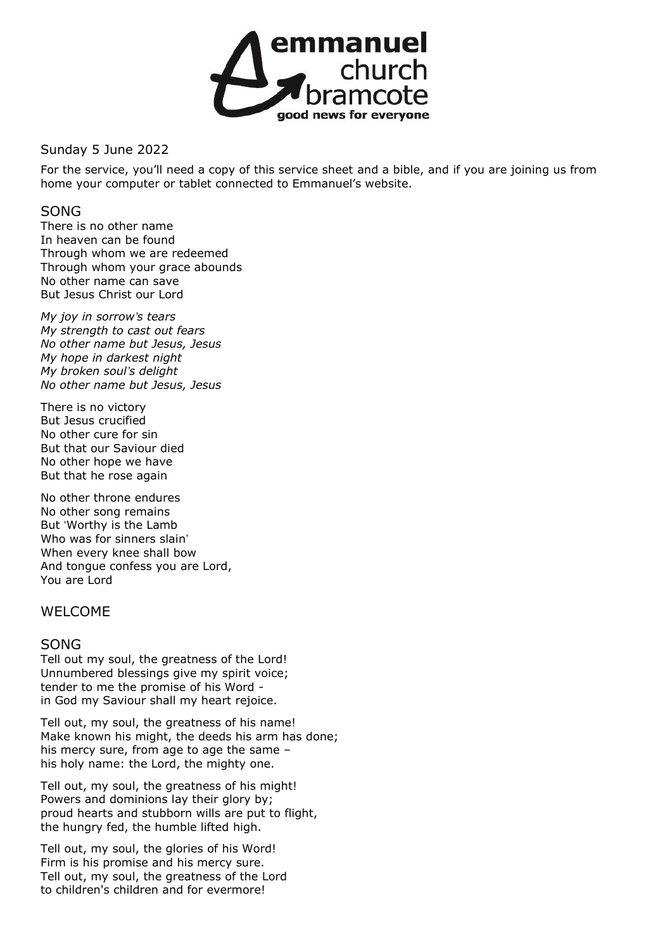

Sunday 5 June 2022

For the service, you'll need a copy of this service sheet and a bible, and if you are joining us from home your computer or tablet connected to Emmanuel's website.

#### SONG

There is no other name In heaven can be found Through whom we are redeemed Through whom your grace abounds No other name can save But Jesus Christ our Lord

*My joy in sorrow's tears My strength to cast out fears No other name but Jesus, Jesus My hope in darkest night My broken soul's delight No other name but Jesus, Jesus*

There is no victory But Jesus crucified No other cure for sin But that our Saviour died No other hope we have But that he rose again

No other throne endures No other song remains But ʻWorthy is the Lamb Who was for sinners slain' When every knee shall bow And tongue confess you are Lord, You are Lord

### WELCOME

#### SONG

Tell out my soul, the greatness of the Lord! Unnumbered blessings give my spirit voice; tender to me the promise of his Word in God my Saviour shall my heart rejoice.

Tell out, my soul, the greatness of his name! Make known his might, the deeds his arm has done; his mercy sure, from age to age the same – his holy name: the Lord, the mighty one.

Tell out, my soul, the greatness of his might! Powers and dominions lay their glory by; proud hearts and stubborn wills are put to flight, the hungry fed, the humble lifted high.

Tell out, my soul, the glories of his Word! Firm is his promise and his mercy sure. Tell out, my soul, the greatness of the Lord to children's children and for evermore!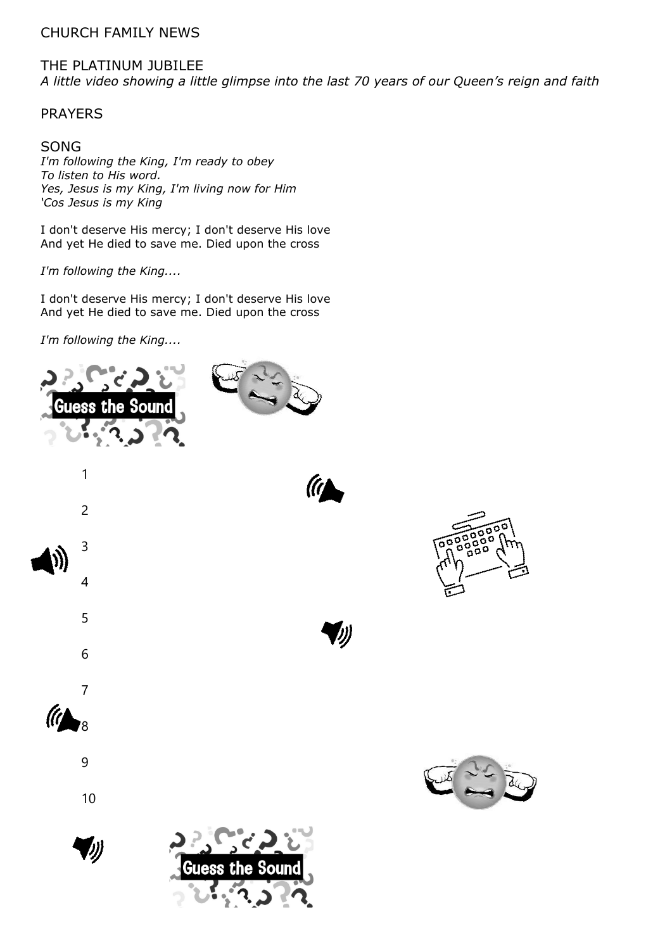# CHURCH FAMILY NEWS

## THE PLATINUM JUBILEE

*A little video showing a little glimpse into the last 70 years of our Queen's reign and faith*

# PRAYERS

# SONG

*I'm following the King, I'm ready to obey To listen to His word. Yes, Jesus is my King, I'm living now for Him 'Cos Jesus is my King*

I don't deserve His mercy; I don't deserve His love And yet He died to save me. Died upon the cross

*I'm following the King....*

I don't deserve His mercy; I don't deserve His love And yet He died to save me. Died upon the cross

*I'm following the King....*

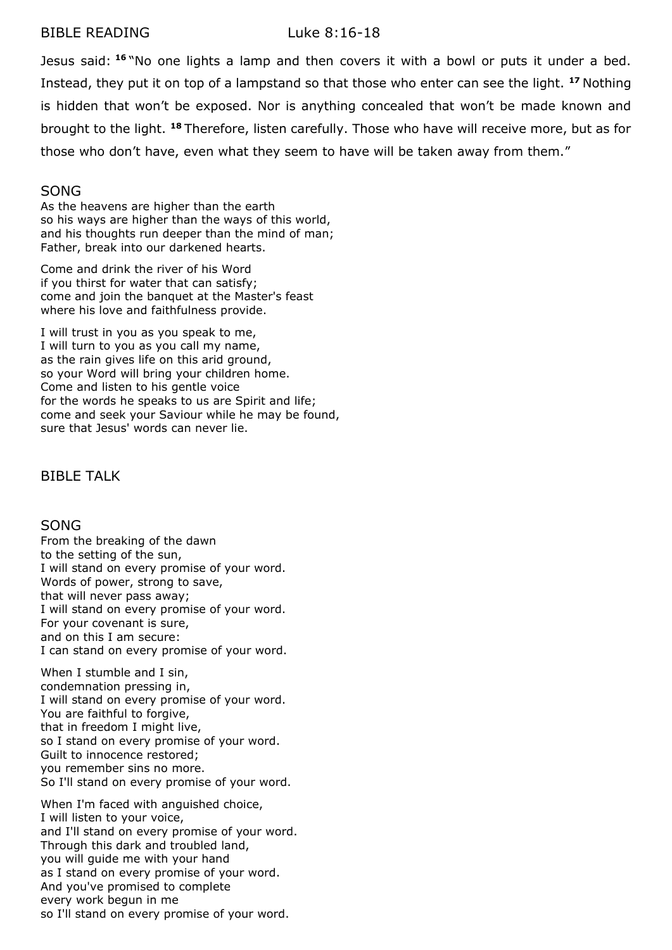#### BIBLE READING Luke 8:16-18

Jesus said: **<sup>16</sup>** "No one lights a lamp and then covers it with a bowl or puts it under a bed. Instead, they put it on top of a lampstand so that those who enter can see the light. **<sup>17</sup>** Nothing is hidden that won't be exposed. Nor is anything concealed that won't be made known and brought to the light. **<sup>18</sup>** Therefore, listen carefully. Those who have will receive more, but as for those who don't have, even what they seem to have will be taken away from them."

### SONG

As the heavens are higher than the earth so his ways are higher than the ways of this world, and his thoughts run deeper than the mind of man; Father, break into our darkened hearts.

Come and drink the river of his Word if you thirst for water that can satisfy; come and join the banquet at the Master's feast where his love and faithfulness provide.

I will trust in you as you speak to me, I will turn to you as you call my name, as the rain gives life on this arid ground, so your Word will bring your children home. Come and listen to his gentle voice for the words he speaks to us are Spirit and life; come and seek your Saviour while he may be found, sure that Jesus' words can never lie.

### BIBLE TALK

### SONG

From the breaking of the dawn to the setting of the sun, I will stand on every promise of your word. Words of power, strong to save, that will never pass away; I will stand on every promise of your word. For your covenant is sure, and on this I am secure: I can stand on every promise of your word.

When I stumble and I sin, condemnation pressing in, I will stand on every promise of your word. You are faithful to forgive, that in freedom I might live, so I stand on every promise of your word. Guilt to innocence restored; you remember sins no more. So I'll stand on every promise of your word.

When I'm faced with anguished choice, I will listen to your voice, and I'll stand on every promise of your word. Through this dark and troubled land, you will guide me with your hand as I stand on every promise of your word. And you've promised to complete every work begun in me so I'll stand on every promise of your word.